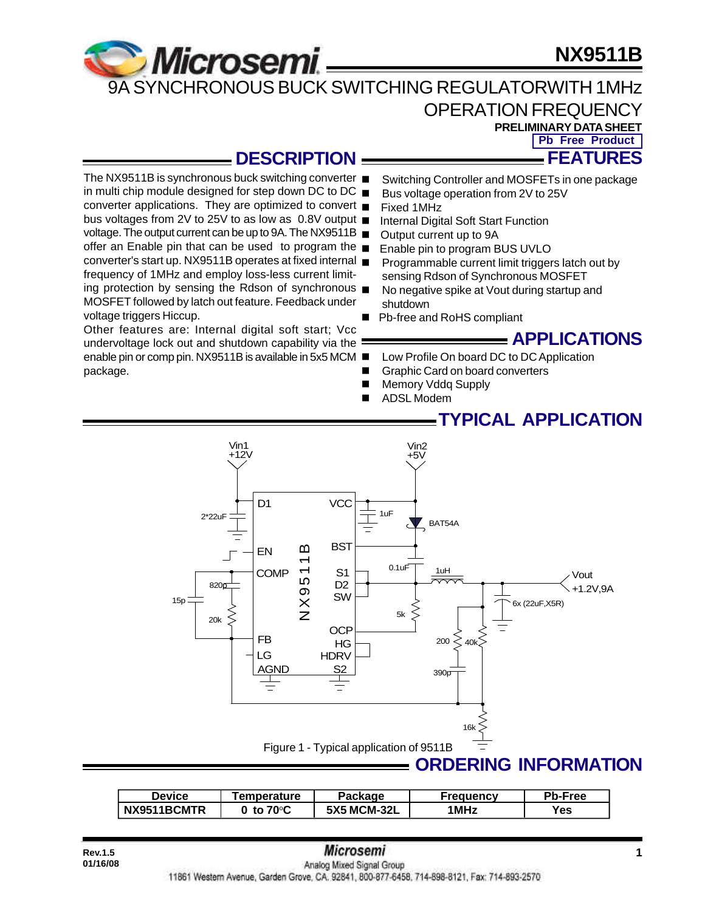# **NX9511B**



## OPERATION FREQUENCY

**PRELIMINARY DATA SHEET Pb Free Product**

**FEATURES**

## **DESCRIPTION**

The NX9511B is synchronous buck switching converter ■ in multi chip module designed for step down DC to DC  $\blacksquare$ converter applications. They are optimized to convert bus voltages from 2V to 25V to as low as 0.8V output voltage. The output current can be up to 9A. The NX9511B offer an Enable pin that can be used to program the converter's start up. NX9511B operates at fixed internal frequency of 1MHz and employ loss-less current limiting protection by sensing the Rdson of synchronous  $\blacksquare$ MOSFET followed by latch out feature. Feedback under voltage triggers Hiccup.

Other features are: Internal digital soft start; Vcc undervoltage lock out and shutdown capability via the enable pin or comp pin. NX9511B is available in 5x5 MCM ■ package.

- Switching Controller and MOSFETs in one package
- Bus voltage operation from 2V to 25V
- Fixed 1MHz
	- Internal Digital Soft Start Function
- Output current up to 9A
- Enable pin to program BUS UVLO
- Programmable current limit triggers latch out by sensing Rdson of Synchronous MOSFET
- No negative spike at Vout during startup and shutdown
- Pb-free and RoHS compliant

**APPLICATIONS**

- Low Profile On board DC to DC Application
- Graphic Card on board converters
- Memory Vddq Supply
- **ADSL Modem**

### **TYPICAL APPLICATION**



| <b>Device</b> | <b>Femperature</b> | Package            | <b>Frequency</b> | Pb-Free           |
|---------------|--------------------|--------------------|------------------|-------------------|
| NX9511BCMTR   | to 70°C            | <b>5X5 MCM-32L</b> | 1 MHz            | $v_{\mathsf{es}}$ |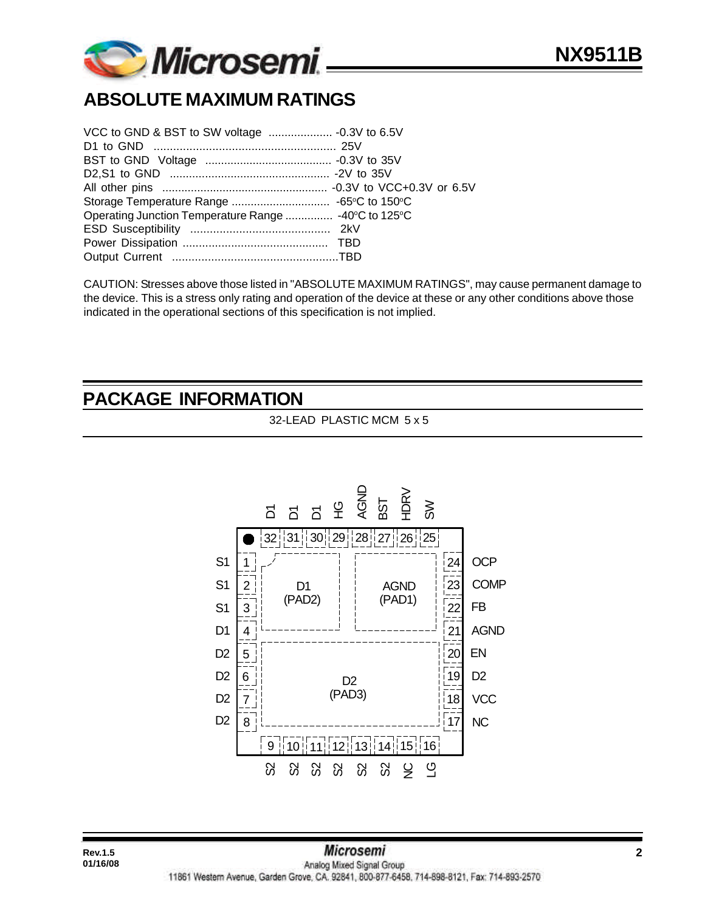

# **ABSOLUTE MAXIMUM RATINGS**

CAUTION: Stresses above those listed in "ABSOLUTE MAXIMUM RATINGS", may cause permanent damage to the device. This is a stress only rating and operation of the device at these or any other conditions above those indicated in the operational sections of this specification is not implied.

### **PACKAGE INFORMATION**

32-LEAD PLASTIC MCM 5 x 5

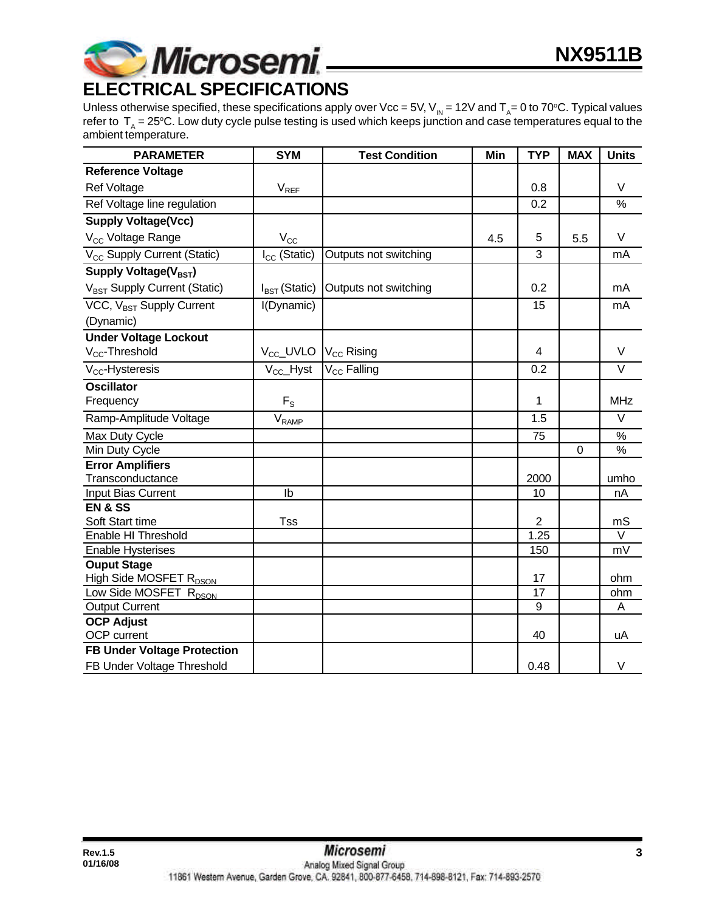

Unless otherwise specified, these specifications apply over Vcc = 5V, V<sub>IN</sub> = 12V and T<sub>A</sub>= 0 to 70°C. Typical values refer to  $\rm\,T_{_A}=25^oC.$  Low duty cycle pulse testing is used which keeps junction and case temperatures equal to the

| ambient temperature.                     |                           |                         |     |                |            |                   |
|------------------------------------------|---------------------------|-------------------------|-----|----------------|------------|-------------------|
| <b>PARAMETER</b>                         | <b>SYM</b>                | <b>Test Condition</b>   | Min | <b>TYP</b>     | <b>MAX</b> | <b>Units</b>      |
| <b>Reference Voltage</b>                 |                           |                         |     |                |            |                   |
| <b>Ref Voltage</b>                       | $V_{REF}$                 |                         |     | 0.8            |            | V                 |
| Ref Voltage line regulation              |                           |                         |     | 0.2            |            | %                 |
| <b>Supply Voltage(Vcc)</b>               |                           |                         |     |                |            |                   |
| V <sub>CC</sub> Voltage Range            | $V_{\rm CC}$              |                         | 4.5 | 5              | 5.5        | $\vee$            |
| V <sub>CC</sub> Supply Current (Static)  | $I_{CC}$ (Static)         | Outputs not switching   |     | 3              |            | mA                |
| Supply Voltage(V <sub>BST</sub> )        |                           |                         |     |                |            |                   |
| V <sub>BST</sub> Supply Current (Static) | $I_{\text{BST}}$ (Static) | Outputs not switching   |     | 0.2            |            | mA                |
| VCC, V <sub>BST</sub> Supply Current     | I(Dynamic)                |                         |     | 15             |            | mA                |
| (Dynamic)                                |                           |                         |     |                |            |                   |
| <b>Under Voltage Lockout</b>             |                           |                         |     |                |            |                   |
| V <sub>CC</sub> -Threshold               | V <sub>CC</sub> _UVLO     | $V_{CC}$ Rising         |     | 4              |            | $\vee$            |
| V <sub>cc</sub> -Hysteresis              | $V_{\text{CC}}$ Hyst      | V <sub>CC</sub> Falling |     | 0.2            |            | $\vee$            |
| <b>Oscillator</b>                        |                           |                         |     |                |            |                   |
| Frequency                                | $F_S$                     |                         |     | 1              |            | <b>MHz</b>        |
| Ramp-Amplitude Voltage                   | $V_{RAMP}$                |                         |     | 1.5            |            | $\overline{\vee}$ |
| Max Duty Cycle                           |                           |                         |     | 75             |            | $\%$              |
| Min Duty Cycle                           |                           |                         |     |                | 0          | %                 |
| <b>Error Amplifiers</b>                  |                           |                         |     |                |            |                   |
| Transconductance                         |                           |                         |     | 2000           |            | umho              |
| Input Bias Current                       | Ib                        |                         |     | 10             |            | nA                |
| <b>EN &amp; SS</b>                       |                           |                         |     |                |            |                   |
| Soft Start time                          | <b>Tss</b>                |                         |     | 2              |            | mS                |
| Enable HI Threshold                      |                           |                         |     | 1.25           |            | $\vee$            |
| <b>Enable Hysterises</b>                 |                           |                         |     | 150            |            | mV                |
| <b>Ouput Stage</b>                       |                           |                         |     |                |            |                   |
| High Side MOSFET R <sub>DSON</sub>       |                           |                         |     | 17             |            | ohm               |
| Low Side MOSFET R <sub>DSON</sub>        |                           |                         |     | 17             |            | ohm               |
| <b>Output Current</b>                    |                           |                         |     | $\overline{9}$ |            | A                 |
| <b>OCP Adjust</b>                        |                           |                         |     |                |            |                   |
| OCP current                              |                           |                         |     | 40             |            | uA                |
| <b>FB Under Voltage Protection</b>       |                           |                         |     |                |            |                   |
| FB Under Voltage Threshold               |                           |                         |     | 0.48           |            | V                 |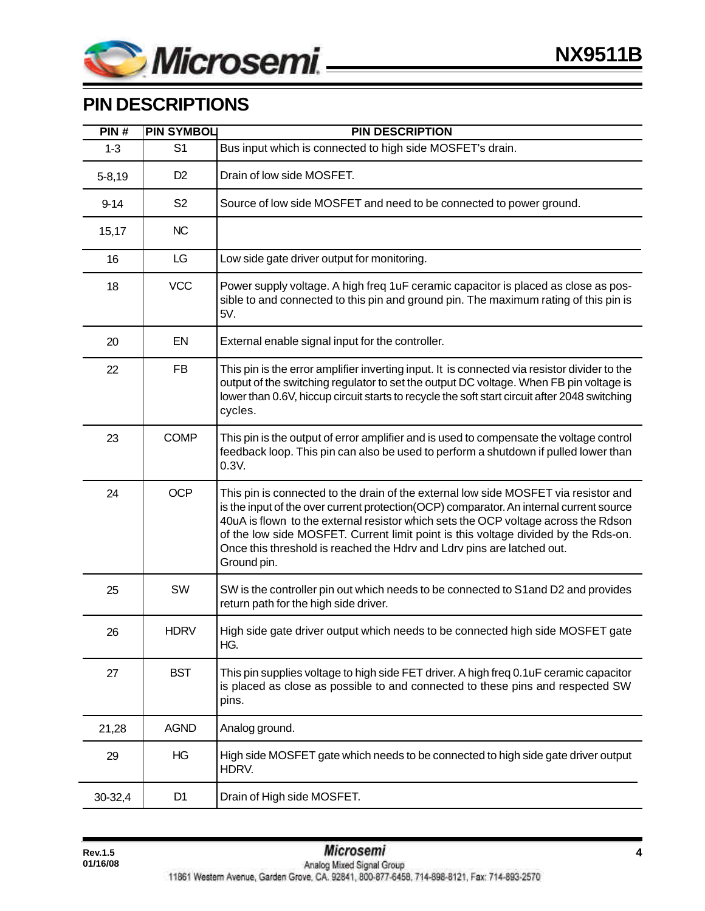

# **PIN DESCRIPTIONS**

| PIN#       | <b>PIN SYMBOL</b> | <b>PIN DESCRIPTION</b>                                                                                                                                                                                                                                                                                                                                                                                                                              |  |
|------------|-------------------|-----------------------------------------------------------------------------------------------------------------------------------------------------------------------------------------------------------------------------------------------------------------------------------------------------------------------------------------------------------------------------------------------------------------------------------------------------|--|
| $1 - 3$    | S <sub>1</sub>    | Bus input which is connected to high side MOSFET's drain.                                                                                                                                                                                                                                                                                                                                                                                           |  |
| $5 - 8,19$ | D <sub>2</sub>    | Drain of low side MOSFET.                                                                                                                                                                                                                                                                                                                                                                                                                           |  |
| $9 - 14$   | S <sub>2</sub>    | Source of low side MOSFET and need to be connected to power ground.                                                                                                                                                                                                                                                                                                                                                                                 |  |
| 15,17      | <b>NC</b>         |                                                                                                                                                                                                                                                                                                                                                                                                                                                     |  |
| 16         | LG                | Low side gate driver output for monitoring.                                                                                                                                                                                                                                                                                                                                                                                                         |  |
| 18         | <b>VCC</b>        | Power supply voltage. A high freq 1uF ceramic capacitor is placed as close as pos-<br>sible to and connected to this pin and ground pin. The maximum rating of this pin is<br>5V.                                                                                                                                                                                                                                                                   |  |
| 20         | EN                | External enable signal input for the controller.                                                                                                                                                                                                                                                                                                                                                                                                    |  |
| 22         | <b>FB</b>         | This pin is the error amplifier inverting input. It is connected via resistor divider to the<br>output of the switching regulator to set the output DC voltage. When FB pin voltage is<br>lower than 0.6V, hiccup circuit starts to recycle the soft start circuit after 2048 switching<br>cycles.                                                                                                                                                  |  |
| 23         | <b>COMP</b>       | This pin is the output of error amplifier and is used to compensate the voltage control<br>feedback loop. This pin can also be used to perform a shutdown if pulled lower than<br>0.3V.                                                                                                                                                                                                                                                             |  |
| 24         | <b>OCP</b>        | This pin is connected to the drain of the external low side MOSFET via resistor and<br>is the input of the over current protection(OCP) comparator. An internal current source<br>40uA is flown to the external resistor which sets the OCP voltage across the Rdson<br>of the low side MOSFET. Current limit point is this voltage divided by the Rds-on.<br>Once this threshold is reached the Hdrv and Ldrv pins are latched out.<br>Ground pin. |  |
| 25         | SW                | SW is the controller pin out which needs to be connected to S1 and D2 and provides<br>return path for the high side driver.                                                                                                                                                                                                                                                                                                                         |  |
| 26         | <b>HDRV</b>       | High side gate driver output which needs to be connected high side MOSFET gate<br>HG.                                                                                                                                                                                                                                                                                                                                                               |  |
| 27         | <b>BST</b>        | This pin supplies voltage to high side FET driver. A high freq 0.1uF ceramic capacitor<br>is placed as close as possible to and connected to these pins and respected SW<br>pins.                                                                                                                                                                                                                                                                   |  |
| 21,28      | <b>AGND</b>       | Analog ground.                                                                                                                                                                                                                                                                                                                                                                                                                                      |  |
| 29         | HG                | High side MOSFET gate which needs to be connected to high side gate driver output<br>HDRV.                                                                                                                                                                                                                                                                                                                                                          |  |
| 30-32,4    | D <sub>1</sub>    | Drain of High side MOSFET.                                                                                                                                                                                                                                                                                                                                                                                                                          |  |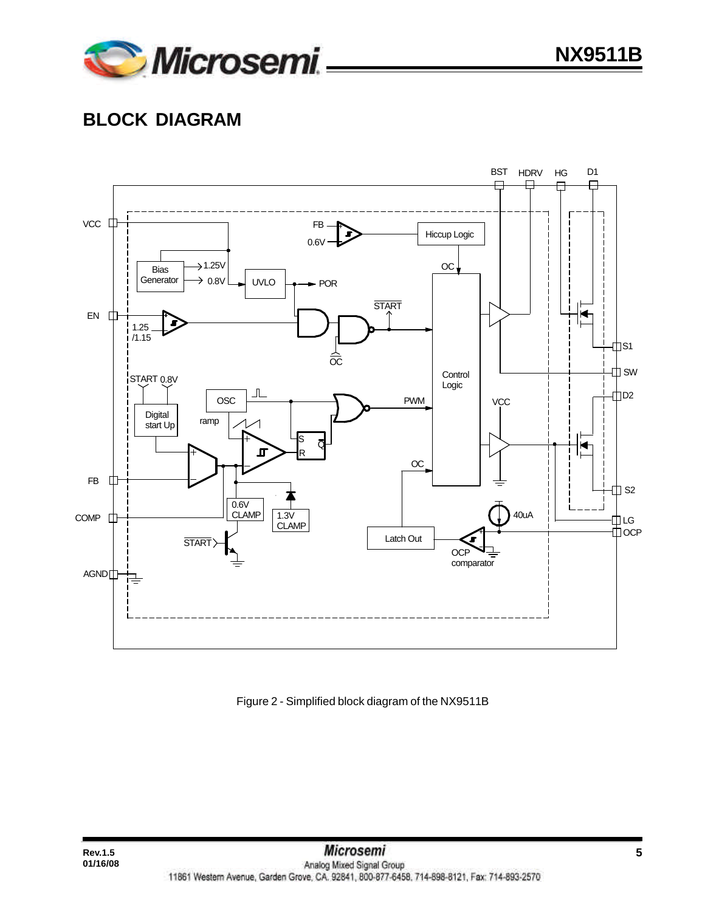

# **BLOCK DIAGRAM**

**01/16/08**



Figure 2 - Simplified block diagram of the NX9511B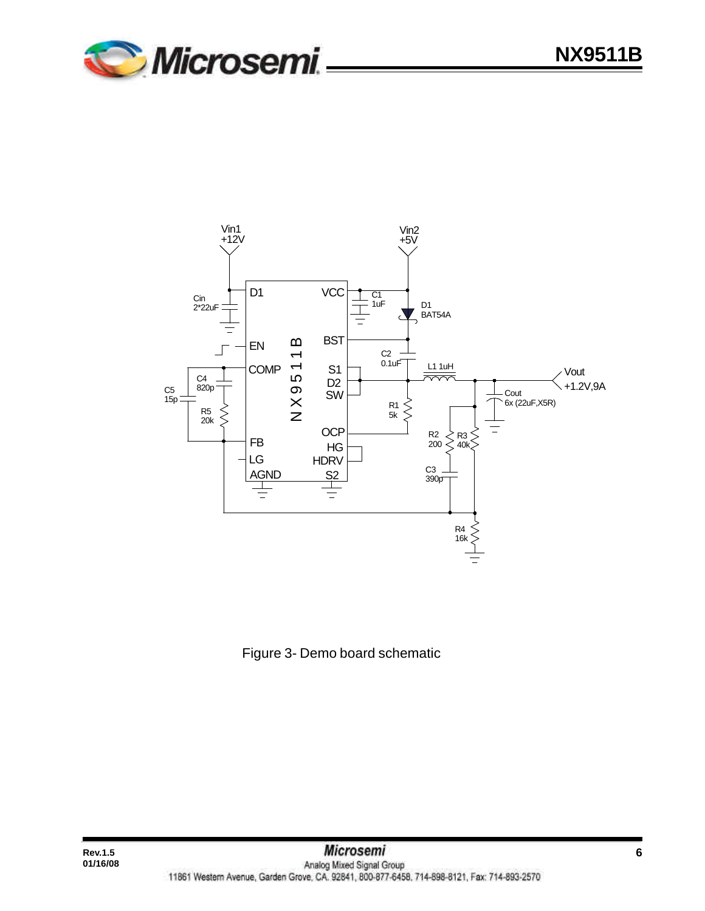



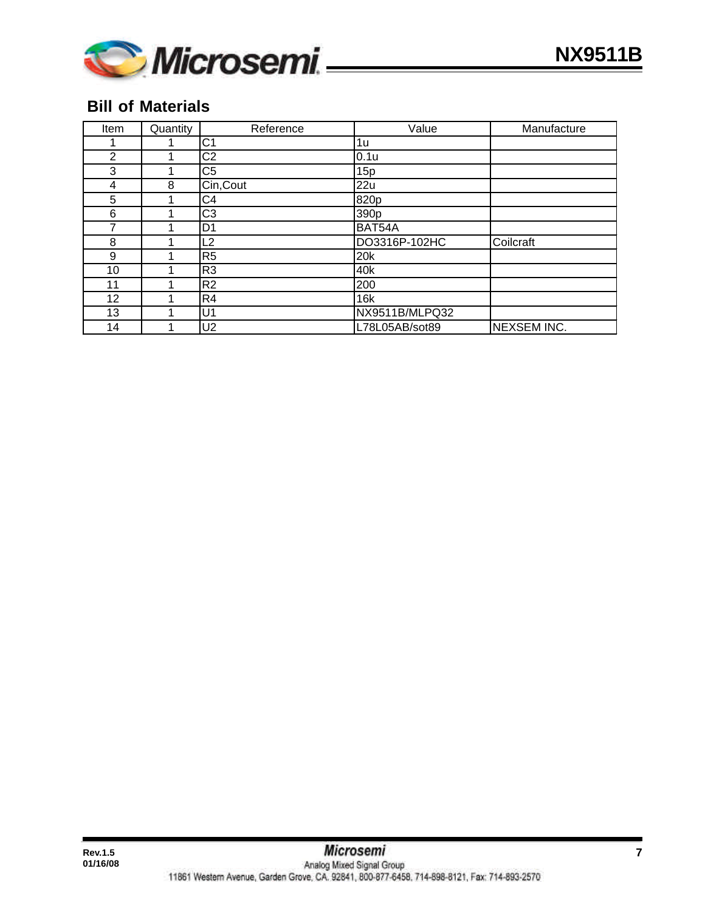

### **Bill of Materials**

| Item           | Quantity | Reference      | Value            | Manufacture        |
|----------------|----------|----------------|------------------|--------------------|
|                | 1        | C <sub>1</sub> | 1u               |                    |
| $\overline{2}$ | ◢        | C <sub>2</sub> | 0.1u             |                    |
| 3              | 1        | C <sub>5</sub> | 15p              |                    |
| 4              | 8        | Cin, Cout      | 22u              |                    |
| 5              | 1        | C <sub>4</sub> | 820p             |                    |
| 6              | 1        | C <sub>3</sub> | 390 <sub>p</sub> |                    |
| 7              | 1        | D <sub>1</sub> | BAT54A           |                    |
| 8              | 1        | L2             | DO3316P-102HC    | Coilcraft          |
| 9              | 1        | R <sub>5</sub> | 20 <sub>k</sub>  |                    |
| 10             | 1        | R <sub>3</sub> | 40k              |                    |
| 11             | 1        | R <sub>2</sub> | 200              |                    |
| 12             | 1        | R <sub>4</sub> | 16k              |                    |
| 13             | 1        | U1             | NX9511B/MLPQ32   |                    |
| 14             | 1        | U2             | L78L05AB/sot89   | <b>NEXSEM INC.</b> |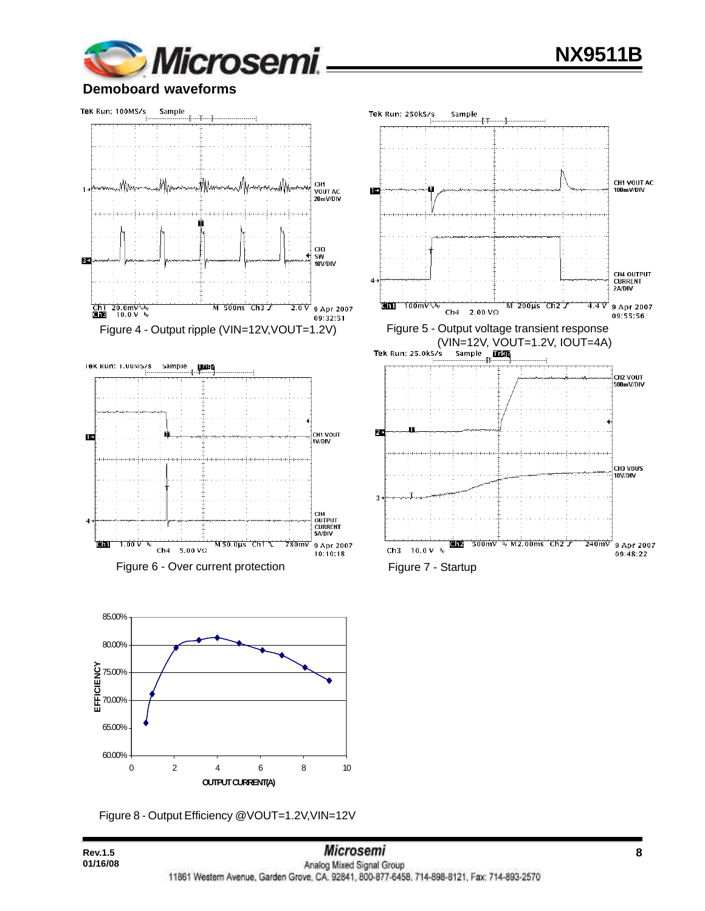

#### **Demoboard waveforms**



Figure 6 - Over current protection Figure 7 - Startup



Figure 8 - Output Efficiency @VOUT=1.2V,VIN=12V

**01/16/08**



Sample

 $\mathbf{L}$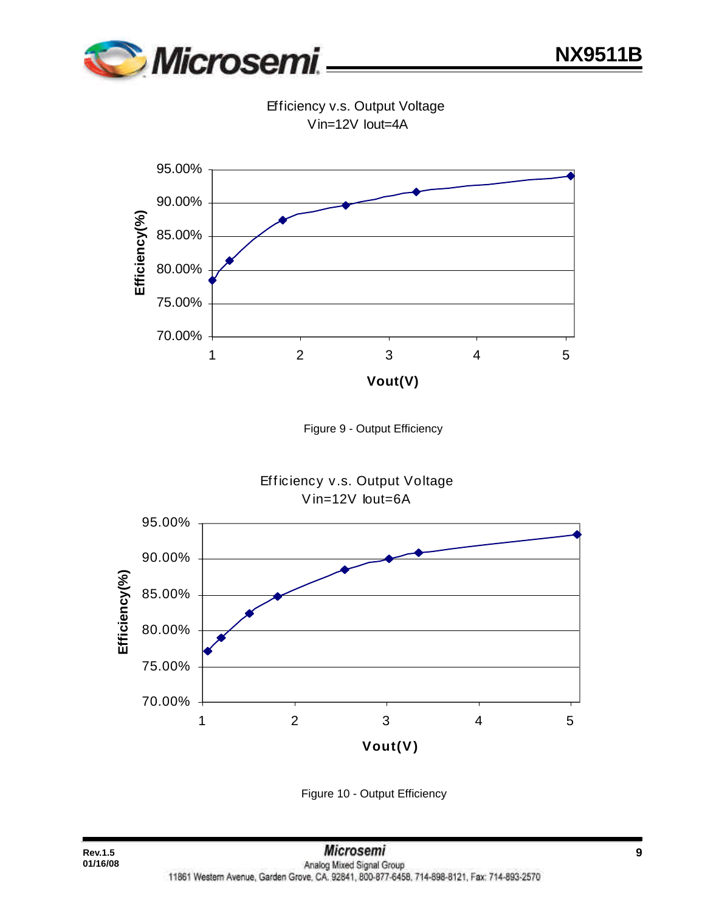

Efficiency v.s. Output Voltage Vin=12V Iout=4A







Figure 10 - Output Efficiency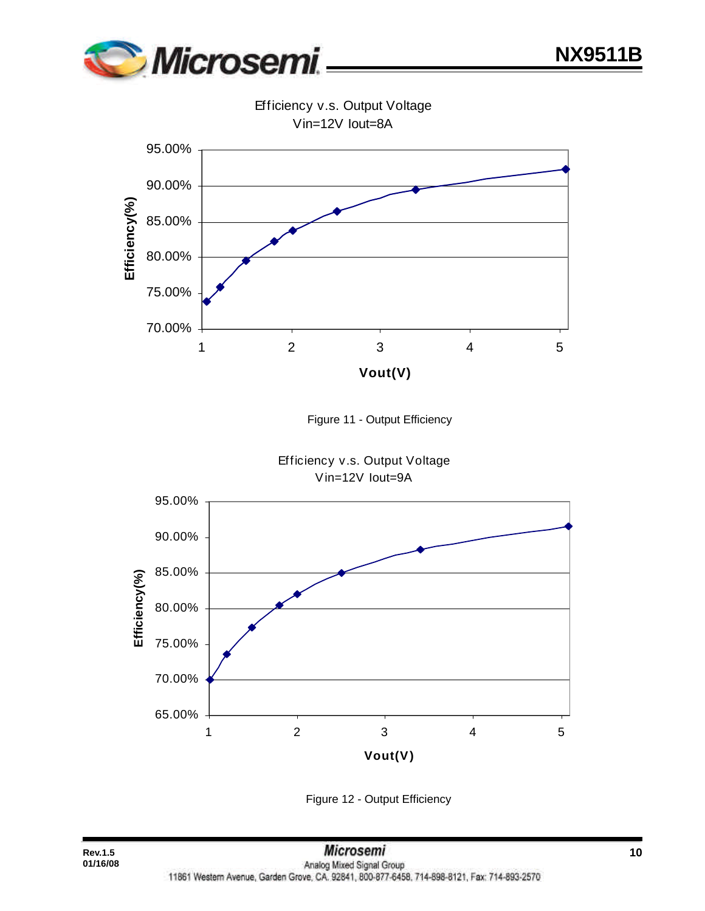

Vin=12V Iout=8A 95.00% 90.00% **Efficiency(%)**  Efficiency(%) 85.00% 80.00% 75.00% 70.00% 1 2 3 4 5 **Vout(V)**





Efficiency v.s. Output Voltage Vin=12V Iout=9A



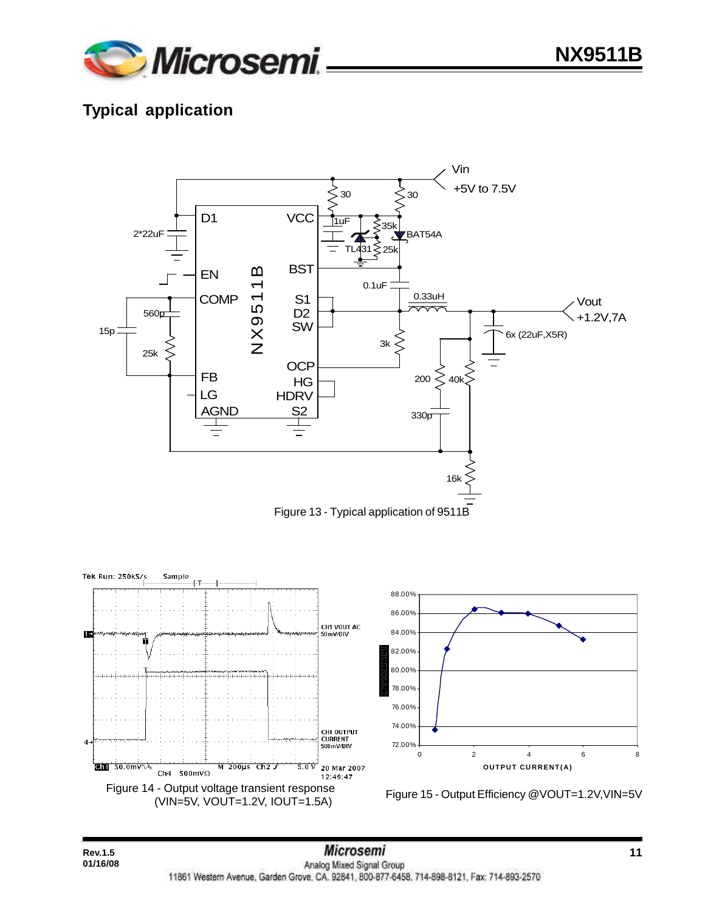

# **Typical application**

**01/16/08**



Figure 13 - Typical application of 9511B

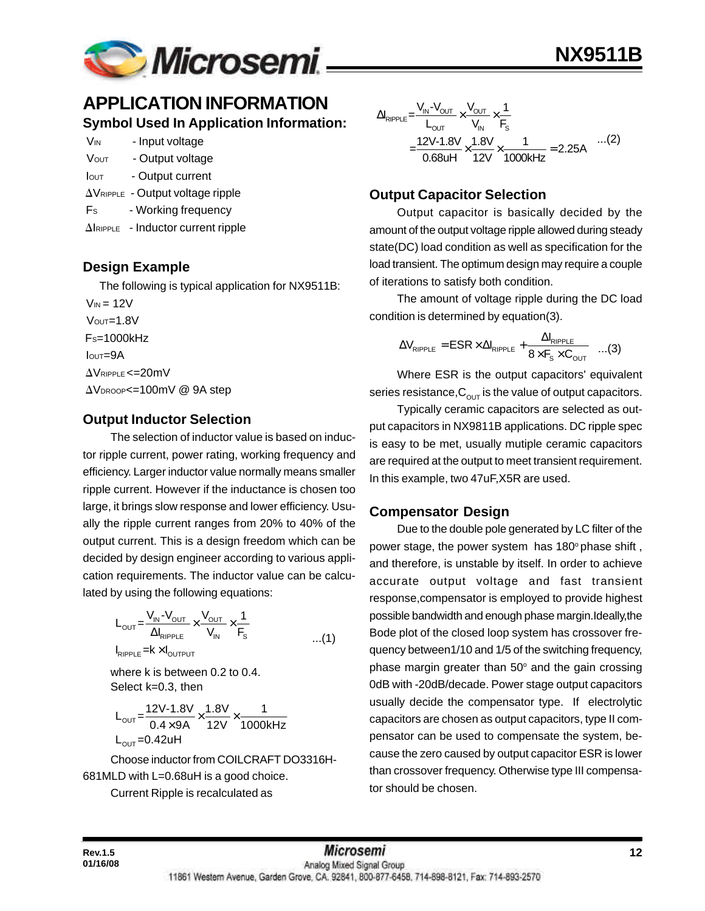

### **APPLICATION INFORMATION Symbol Used In Application Information:**

| Vin          | - Input voltage                             |
|--------------|---------------------------------------------|
| <b>V</b> out | - Output voltage                            |
| lout         | - Output current                            |
|              | $\Delta V_{RIPPLE}$ - Output voltage ripple |
| Fs           | - Working frequency                         |

 $\Delta$ IRIPPLE - Inductor current ripple

#### **Design Example**

The following is typical application for NX9511B:

 $V_{IN}$  = 12V  $V$ <sup>OUT=1.8V</sup>  $Fs=1000kHz$  IOUT=9A  $\Delta$ VRIPPLE <= 20mV AVDROOP<=100mV @ 9A step

#### **Output Inductor Selection**

The selection of inductor value is based on inductor ripple current, power rating, working frequency and efficiency. Larger inductor value normally means smaller ripple current. However if the inductance is chosen too large, it brings slow response and lower efficiency. Usually the ripple current ranges from 20% to 40% of the output current. This is a design freedom which can be decided by design engineer according to various application requirements. The inductor value can be calculated by using the following equations:

$$
L_{\text{OUT}} = \frac{V_{\text{IN}} - V_{\text{OUT}}}{\Delta I_{\text{RIPPLE}}} \times \frac{V_{\text{OUT}}}{V_{\text{IN}}} \times \frac{1}{F_s}
$$
  
\n
$$
I_{\text{RIPPLE}} = K \times I_{\text{OUTPUT}}
$$

where k is between 0.2 to 0.4. Select k=0.3, then

$$
L_{\text{OUT}} = \frac{12V - 1.8V}{0.4 \times 9A} \times \frac{1.8V}{12V} \times \frac{1}{1000kHz}
$$
  
L\_{\text{OUT}} = 0.42uH

Choose inductor from COILCRAFT DO3316H-681MLD with L=0.68uH is a good choice.

Current Ripple is recalculated as

$$
\Delta I_{RIPPLE} = \frac{V_{IN} - V_{OUT}}{L_{OUT}} \times \frac{V_{OUT}}{V_{IN}} \times \frac{1}{F_s}
$$
  
= 
$$
\frac{12V - 1.8V}{0.68uH} \times \frac{1.8V}{12V} \times \frac{1}{1000kHz} = 2.25A
$$
...(2)

#### **Output Capacitor Selection**

Output capacitor is basically decided by the amount of the output voltage ripple allowed during steady state(DC) load condition as well as specification for the load transient. The optimum design may require a couple of iterations to satisfy both condition.

The amount of voltage ripple during the DC load condition is determined by equation(3).

$$
\Delta V_{\text{RIPPLE}} = ESR \times \Delta I_{\text{RIPPLE}} + \frac{\Delta I_{\text{RIPPLE}}}{8 \times F_s \times C_{\text{OUT}}} \quad ...(3)
$$

Where ESR is the output capacitors' equivalent series resistance,  $C_{\text{OUT}}$  is the value of output capacitors.

Typically ceramic capacitors are selected as output capacitors in NX9811B applications. DC ripple spec is easy to be met, usually mutiple ceramic capacitors are required at the output to meet transient requirement. In this example, two 47uF,X5R are used.

#### **Compensator Design**

Due to the double pole generated by LC filter of the power stage, the power system has 180° phase shift, and therefore, is unstable by itself. In order to achieve accurate output voltage and fast transient response,compensator is employed to provide highest possible bandwidth and enough phase margin.Ideally,the Bode plot of the closed loop system has crossover frequency between1/10 and 1/5 of the switching frequency, phase margin greater than  $50^{\circ}$  and the gain crossing 0dB with -20dB/decade. Power stage output capacitors usually decide the compensator type. If electrolytic capacitors are chosen as output capacitors, type II compensator can be used to compensate the system, because the zero caused by output capacitor ESR is lower than crossover frequency. Otherwise type III compensator should be chosen.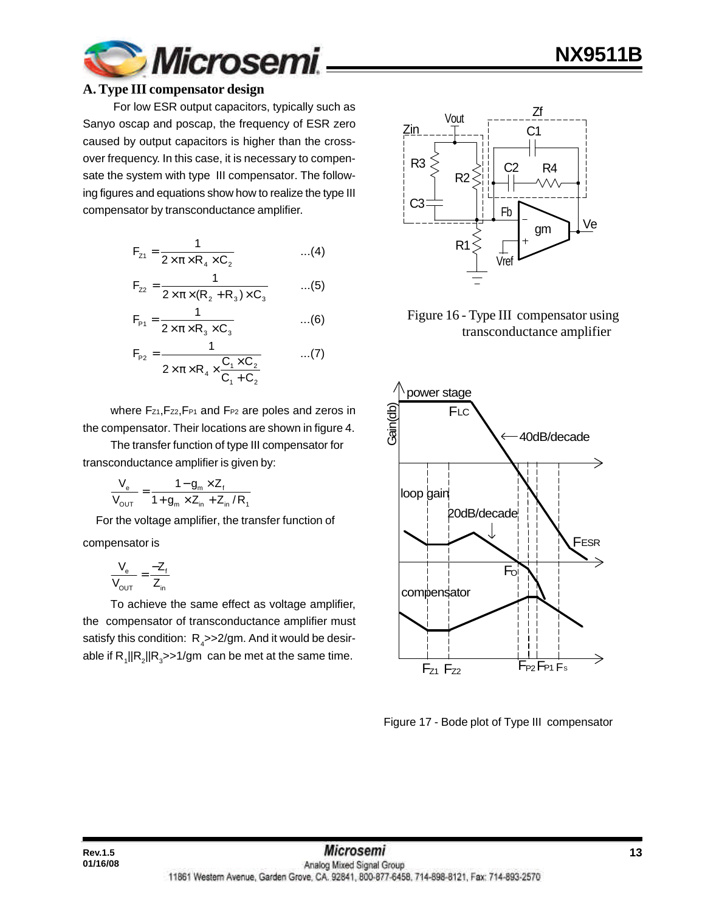

#### **A. Type III compensator design**

 For low ESR output capacitors, typically such as Sanyo oscap and poscap, the frequency of ESR zero caused by output capacitors is higher than the crossover frequency. In this case, it is necessary to compensate the system with type III compensator. The following figures and equations show how to realize the type III compensator by transconductance amplifier.

$$
F_{z_1} = \frac{1}{2 \times \pi \times R_4 \times C_2}
$$
...(4)

$$
F_{z2} = \frac{1}{2 \times \pi \times (R_2 + R_3) \times C_3}
$$
 ...(5)

$$
F_{p_1} = \frac{1}{2 \times \pi \times R_3 \times C_3}
$$
...(6)

$$
F_{p_2} = \frac{1}{2 \times \pi \times R_4 \times \frac{C_1 \times C_2}{C_1 + C_2}} \quad ...(7)
$$

where Fz1, Fz2, FP1 and FP2 are poles and zeros in the compensator. Their locations are shown in figure 4.

The transfer function of type III compensator for transconductance amplifier is given by:

$$
\frac{V_e}{V_{\text{OUT}}} = \frac{1 - g_m \times Z_f}{1 + g_m \times Z_{in} + Z_{in} / R_1}
$$

 For the voltage amplifier, the transfer function of compensator is

$$
\frac{V_e}{V_{\text{OUT}}} = \frac{-Z_f}{Z_{\text{in}}}
$$

**01/16/08**

To achieve the same effect as voltage amplifier, the compensator of transconductance amplifier must satisfy this condition:  $\ R_{_4}$ >>2/gm. And it would be desirable if  $\mathsf{R}_i||\mathsf{R}_2||\mathsf{R}_3$ >>1/gm  $\,$  can be met at the same time.



**NX9511B**

 Figure 16 - Type III compensator using transconductance amplifier



Figure 17 - Bode plot of Type III compensator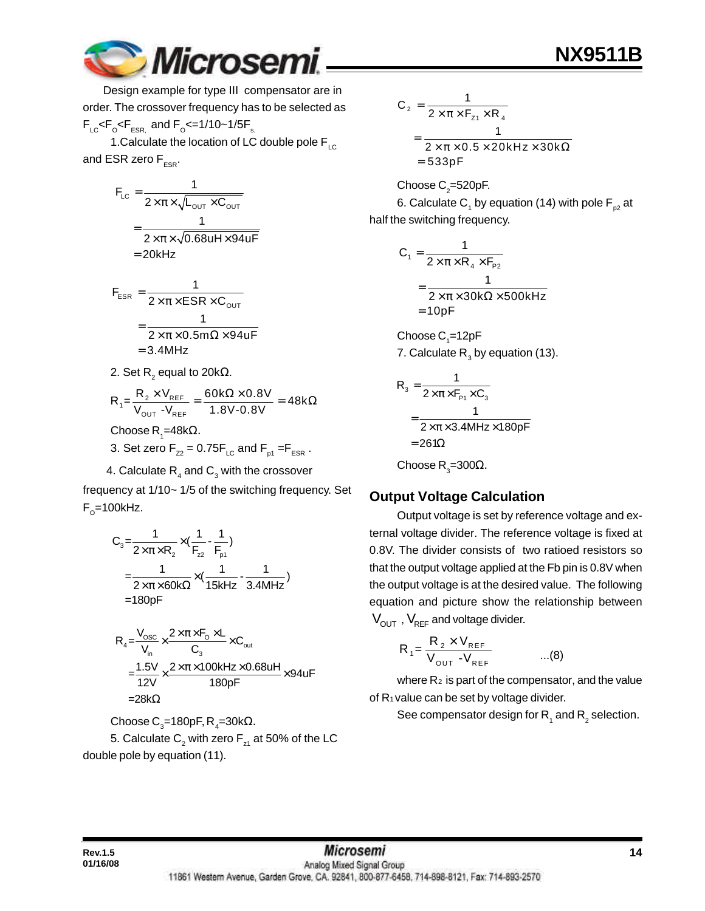

 Design example for type III compensator are in order. The crossover frequency has to be selected as  $F_{LC}$ < $F_{\rm o}$ < $F_{ESR_s}$  and  $F_{\rm o}$ <=1/10~1/5 $F_{\rm s}$ .

1. Calculate the location of LC double pole  $F_{LC}$ and ESR zero  $F_{ESR}$ .

$$
F_{LC} = \frac{1}{2 \times \pi \times \sqrt{L_{OUT} \times C_{OUT}}}
$$

$$
= \frac{1}{2 \times \pi \times \sqrt{0.68 u H \times 94 u F}}
$$

$$
= 20 kHz
$$

$$
F_{ESR} = \frac{1}{2 \times \pi \times ESR \times C_{OUT}}
$$
  
= 
$$
\frac{1}{2 \times \pi \times 0.5m\Omega \times 94uF}
$$
  
= 3.4MHz

2. Set R $_{2}$  equal to 20k $\Omega_{\cdot}$ 

$$
R_1 = \frac{R_2 \times V_{REF}}{V_{OUT} - V_{REF}} = \frac{60k\Omega \times 0.8V}{1.8V - 0.8V} = 48k\Omega
$$

Choose R<sub>1</sub>=48kΩ.

- 3. Set zero  $F_{Z2} = 0.75F_{LC}$  and  $F_{p1} = F_{ESR}$ .
- 4. Calculate  $\mathsf{R}_{_4}$  and  $\mathsf{C}_{_3}$  with the crossover

frequency at 1/10~ 1/5 of the switching frequency. Set  $F_{\rm o}$ =100kHz.

$$
C_3 = \frac{1}{2 \times \pi \times R_2} \times (\frac{1}{F_{22}} - \frac{1}{F_{p1}})
$$
  
=  $\frac{1}{2 \times \pi \times 60 \text{k}\Omega} \times (\frac{1}{15 \text{kHz}} - \frac{1}{3.4 \text{MHz}})$   
= 180pF

$$
R_4 = \frac{V_{\text{osc}}}{V_{\text{in}}} \times \frac{2 \times \pi \times F_0 \times L}{C_3} \times C_{\text{out}}
$$
  
= 
$$
\frac{1.5V}{12V} \times \frac{2 \times \pi \times 100 \text{kHz} \times 0.68 \text{uH}}{180 \text{pF}} \times 94 \text{uF}
$$
  
=28kΩ

Choose C $_{\rm 3}$ =180pF, R $_{\rm 4}$ =30kΩ.

5. Calculate  $\mathsf{C}_\mathsf{2}$  with zero  $\mathsf{F}_\mathsf{z_1}$  at 50% of the LC double pole by equation (11).

$$
C_2 = \frac{1}{2 \times \pi \times F_{z1} \times R_4}
$$
  
= 
$$
\frac{1}{2 \times \pi \times 0.5 \times 20 \text{kHz} \times 30 \text{k}\Omega}
$$
  
= 533pF

Choose  $\mathsf{C}_2$ =520pF. 6. Calculate C<sub>1</sub> by equation (14) with pole F<sub>p2</sub> at half the switching frequency.

$$
C_1 = \frac{1}{2 \times \pi \times R_4 \times F_{P2}}
$$
  
= 
$$
\frac{1}{2 \times \pi \times 30k\Omega \times 500kHz}
$$
  
= 10pF

 $\mathsf{Choose}\, \mathsf{C}_\text{\!i}=12\text{pF}$ 7. Calculate  $\mathsf{R}_{_{3}}$  by equation (13).

$$
R_{3} = \frac{1}{2 \times \pi \times F_{P1} \times C_{3}}
$$
  
= 
$$
\frac{1}{2 \times \pi \times 3.4 \text{MHz} \times 180 \text{pF}}
$$
  
= 261 $\Omega$   
Choose R<sub>3</sub>=300 $\Omega$ .

#### **Output Voltage Calculation**

Output voltage is set by reference voltage and external voltage divider. The reference voltage is fixed at 0.8V. The divider consists of two ratioed resistors so that the output voltage applied at the Fb pin is 0.8V when the output voltage is at the desired value. The following equation and picture show the relationship between  $V_{\text{OUT}}$ ,  $V_{\text{REF}}$  and voltage divider.

$$
R_1 = \frac{R_2 \times V_{REF}}{V_{OUT} - V_{REF}} \qquad ...(8)
$$

where  $R_2$  is part of the compensator, and the value of R1 value can be set by voltage divider.

See compensator design for  $\mathsf{R}_{_{1}}$  and  $\mathsf{R}_{_{2}}$  selection.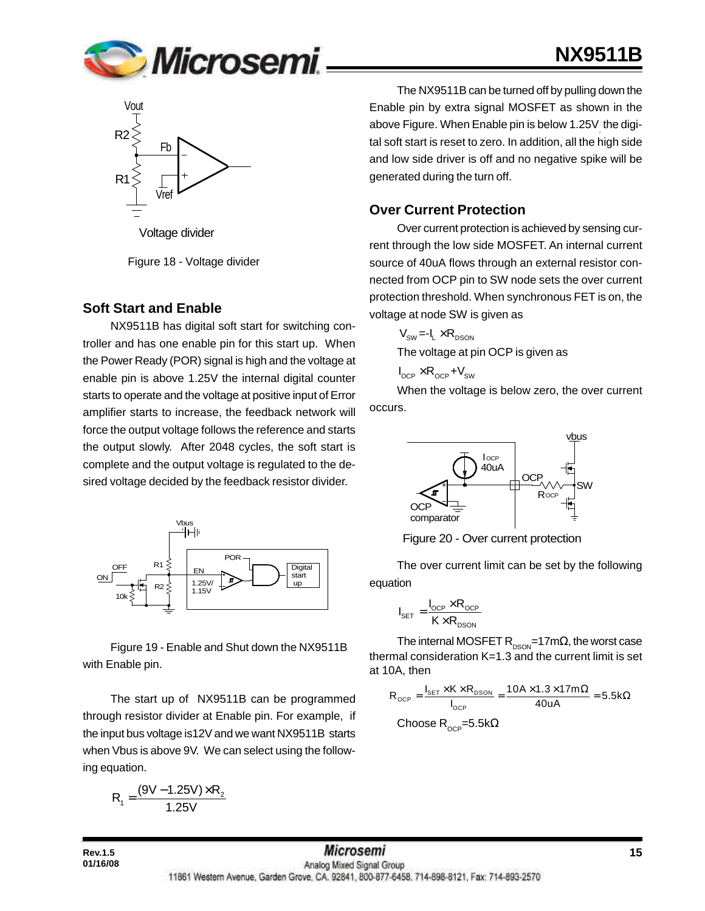

# **NX9511B**



Figure 18 - Voltage divider

#### **Soft Start and Enable**

NX9511B has digital soft start for switching controller and has one enable pin for this start up. When the Power Ready (POR) signal is high and the voltage at enable pin is above 1.25V the internal digital counter starts to operate and the voltage at positive input of Error amplifier starts to increase, the feedback network will force the output voltage follows the reference and starts the output slowly. After 2048 cycles, the soft start is complete and the output voltage is regulated to the desired voltage decided by the feedback resistor divider.



Figure 19 - Enable and Shut down the NX9511B with Enable pin.

The start up of NX9511B can be programmed through resistor divider at Enable pin. For example, if the input bus voltage is12V and we want NX9511B starts when Vbus is above 9V. We can select using the following equation.

$$
R_1 = \frac{(9V - 1.25V) \times R_2}{1.25V}
$$

**01/16/08**

The NX9511B can be turned off by pulling down the Enable pin by extra signal MOSFET as shown in the above Figure. When Enable pin is below 1.25V<sub>,</sub> the digital soft start is reset to zero. In addition, all the high side and low side driver is off and no negative spike will be generated during the turn off.

#### **Over Current Protection**

Over current protection is achieved by sensing current through the low side MOSFET. An internal current source of 40uA flows through an external resistor connected from OCP pin to SW node sets the over current protection threshold. When synchronous FET is on, the voltage at node SW is given as

$$
V_{\text{SW}} = -I_L \times R_{DSON}
$$
  
The voltage at pin OCP is given as

$$
I_{\text{OCP}} \times R_{\text{OCP}} + V_{\text{SW}}
$$

When the voltage is below zero, the over current occurs.



Figure 20 - Over current protection

The over current limit can be set by the following equation

$$
I_{\text{SET}} = \frac{I_{\text{OCP}} \times R_{\text{OCP}}}{K \times R_{\text{DSON}}}
$$

The internal MOSFET  $R_{DSON}$ =17m $\Omega$ , the worst case thermal consideration K=1.3 and the current limit is set at 10A, then

$$
R_{_{OCP}} = \frac{I_{_{SET}} \times K \times R_{_{DSON}}}{I_{_{OCP}}} = \frac{10A \times 1.3 \times 17m\Omega}{40uA} = 5.5k\Omega
$$
  
Choose R<sub>\_{OCP}</sub>=5.5k $\Omega$